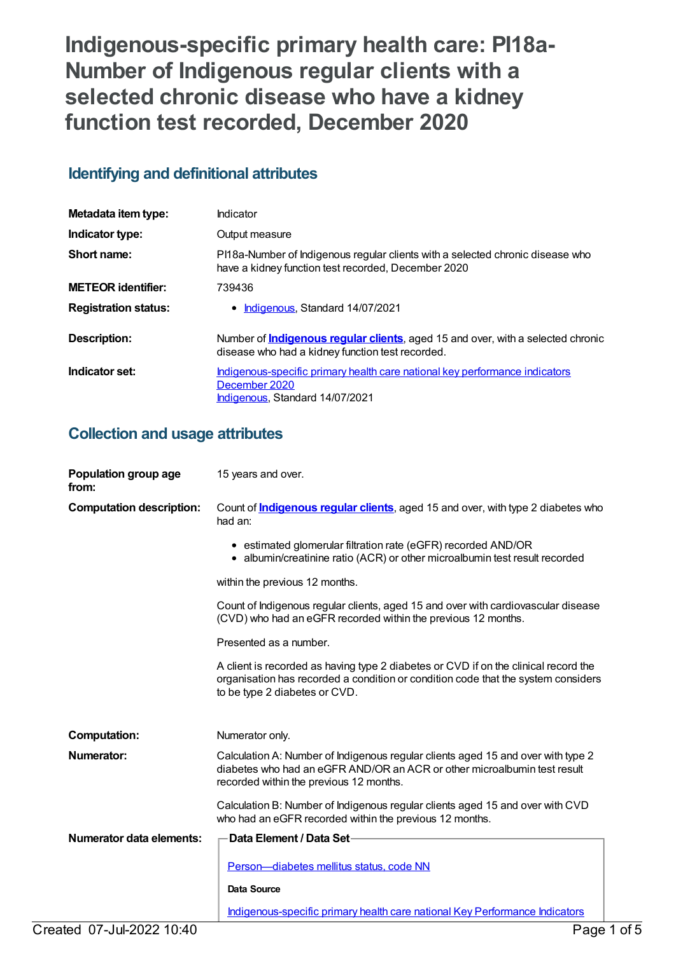**Indigenous-specific primary health care: PI18a-Number of Indigenous regular clients with a selected chronic disease who have a kidney function test recorded, December 2020**

# **Identifying and definitional attributes**

| Metadata item type:         | Indicator                                                                                                                                   |
|-----------------------------|---------------------------------------------------------------------------------------------------------------------------------------------|
| Indicator type:             | Output measure                                                                                                                              |
| Short name:                 | PI18a-Number of Indigenous regular clients with a selected chronic disease who<br>have a kidney function test recorded, December 2020       |
| <b>METEOR</b> identifier:   | 739436                                                                                                                                      |
| <b>Registration status:</b> | Indigenous, Standard 14/07/2021                                                                                                             |
| Description:                | Number of <b>Indigenous regular clients</b> , aged 15 and over, with a selected chronic<br>disease who had a kidney function test recorded. |
| Indicator set:              | Indigenous-specific primary health care national key performance indicators<br>December 2020<br>Indigenous, Standard 14/07/2021             |

# **Collection and usage attributes**

| Population group age<br>from:   | 15 years and over.                                                                                                                                                                                        |
|---------------------------------|-----------------------------------------------------------------------------------------------------------------------------------------------------------------------------------------------------------|
| <b>Computation description:</b> | Count of <b>Indigenous regular clients</b> , aged 15 and over, with type 2 diabetes who<br>had an:                                                                                                        |
|                                 | • estimated glomerular filtration rate (eGFR) recorded AND/OR<br>• albumin/creatinine ratio (ACR) or other microalbumin test result recorded                                                              |
|                                 | within the previous 12 months.                                                                                                                                                                            |
|                                 | Count of Indigenous regular clients, aged 15 and over with cardiovascular disease<br>(CVD) who had an eGFR recorded within the previous 12 months.                                                        |
|                                 | Presented as a number.                                                                                                                                                                                    |
|                                 | A client is recorded as having type 2 diabetes or CVD if on the clinical record the<br>organisation has recorded a condition or condition code that the system considers<br>to be type 2 diabetes or CVD. |
| <b>Computation:</b>             | Numerator only.                                                                                                                                                                                           |
| <b>Numerator:</b>               | Calculation A: Number of Indigenous regular clients aged 15 and over with type 2<br>diabetes who had an eGFR AND/OR an ACR or other microalbumin test result<br>recorded within the previous 12 months.   |
|                                 | Calculation B: Number of Indigenous regular clients aged 15 and over with CVD<br>who had an eGFR recorded within the previous 12 months.                                                                  |
| Numerator data elements:        | Data Element / Data Set-                                                                                                                                                                                  |
|                                 | Person-diabetes mellitus status, code NN                                                                                                                                                                  |
|                                 | <b>Data Source</b>                                                                                                                                                                                        |
|                                 | Indigenous-specific primary health care national Key Performance Indicators                                                                                                                               |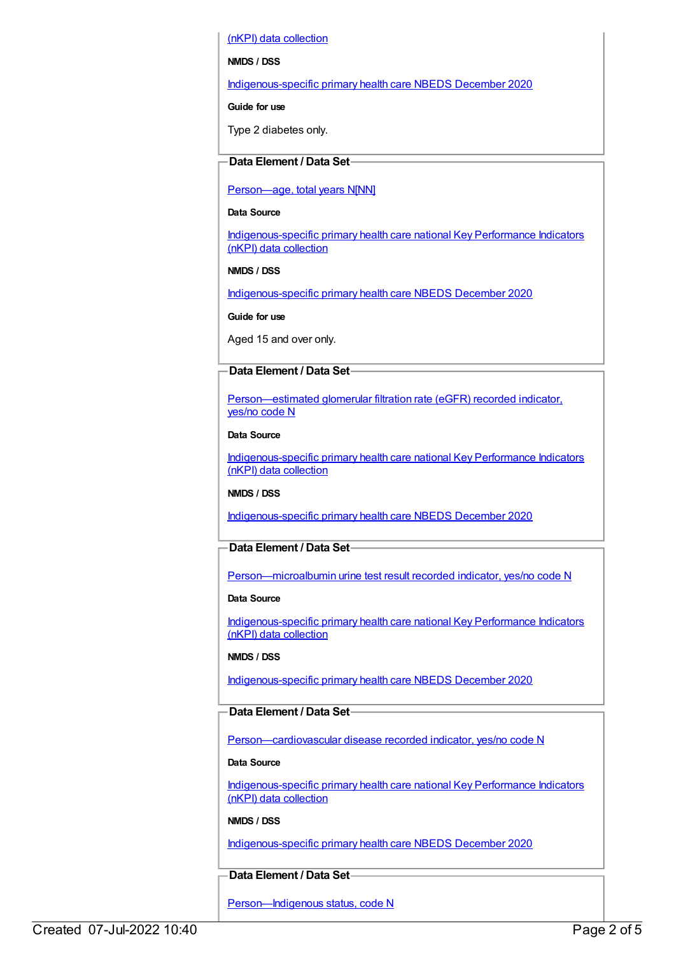(nKPI) data collection

#### **NMDS / DSS**

[Indigenous-specific](https://meteor.aihw.gov.au/content/738532) primary health care NBEDS December 2020

#### **Guide for use**

Type 2 diabetes only.

## **Data Element / Data Set**

#### [Person—age,](https://meteor.aihw.gov.au/content/303794) total years N[NN]

#### **Data Source**

[Indigenous-specific](https://meteor.aihw.gov.au/content/737914) primary health care national Key Performance Indicators (nKPI) data collection

#### **NMDS / DSS**

[Indigenous-specific](https://meteor.aihw.gov.au/content/738532) primary health care NBEDS December 2020

**Guide for use**

Aged 15 and over only.

## **Data Element / Data Set**

[Person—estimated](https://meteor.aihw.gov.au/content/464961) glomerular filtration rate (eGFR) recorded indicator, yes/no code N

#### **Data Source**

[Indigenous-specific](https://meteor.aihw.gov.au/content/737914) primary health care national Key Performance Indicators (nKPI) data collection

### **NMDS / DSS**

[Indigenous-specific](https://meteor.aihw.gov.au/content/738532) primary health care NBEDS December 2020

# **Data Element / Data Set**

[Person—microalbumin](https://meteor.aihw.gov.au/content/464970) urine test result recorded indicator, yes/no code N

#### **Data Source**

[Indigenous-specific](https://meteor.aihw.gov.au/content/737914) primary health care national Key Performance Indicators (nKPI) data collection

### **NMDS / DSS**

[Indigenous-specific](https://meteor.aihw.gov.au/content/738532) primary health care NBEDS December 2020

### **Data Element / Data Set**

[Person—cardiovascular](https://meteor.aihw.gov.au/content/465948) disease recorded indicator, yes/no code N

#### **Data Source**

[Indigenous-specific](https://meteor.aihw.gov.au/content/737914) primary health care national Key Performance Indicators (nKPI) data collection

### **NMDS / DSS**

[Indigenous-specific](https://meteor.aihw.gov.au/content/738532) primary health care NBEDS December 2020

# **Data Element / Data Set**

Person-Indigenous status, code N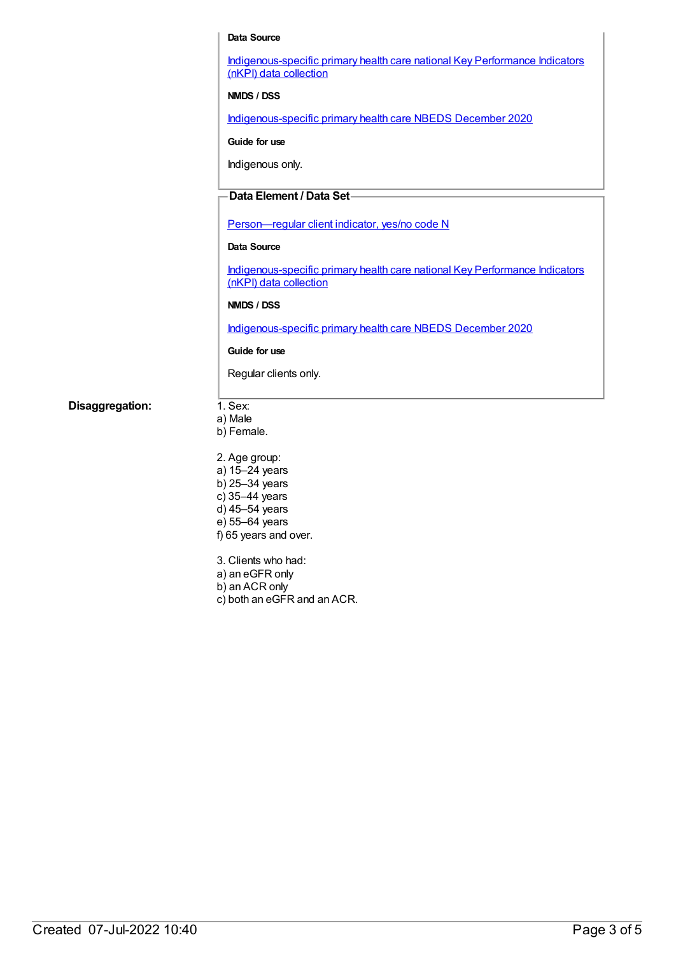#### **Data Source**

[Indigenous-specific](https://meteor.aihw.gov.au/content/737914) primary health care national Key Performance Indicators (nKPI) data collection

**NMDS / DSS**

[Indigenous-specific](https://meteor.aihw.gov.au/content/738532) primary health care NBEDS December 2020

**Guide for use**

Indigenous only.

## **Data Element / Data Set**

[Person—regular](https://meteor.aihw.gov.au/content/686291) client indicator, yes/no code N

#### **Data Source**

[Indigenous-specific](https://meteor.aihw.gov.au/content/737914) primary health care national Key Performance Indicators (nKPI) data collection

#### **NMDS / DSS**

[Indigenous-specific](https://meteor.aihw.gov.au/content/738532) primary health care NBEDS December 2020

#### **Guide for use**

Regular clients only.

**Disaggregation:** 1. Sex:

a) Male b) Female.

2. Age group: a) 15–24 years b) 25–34 years c) 35–44 years d) 45–54 years e) 55–64 years f) 65 years and over.

3. Clients who had: a) an eGFR only b) an ACR only c) both an eGFR and an ACR.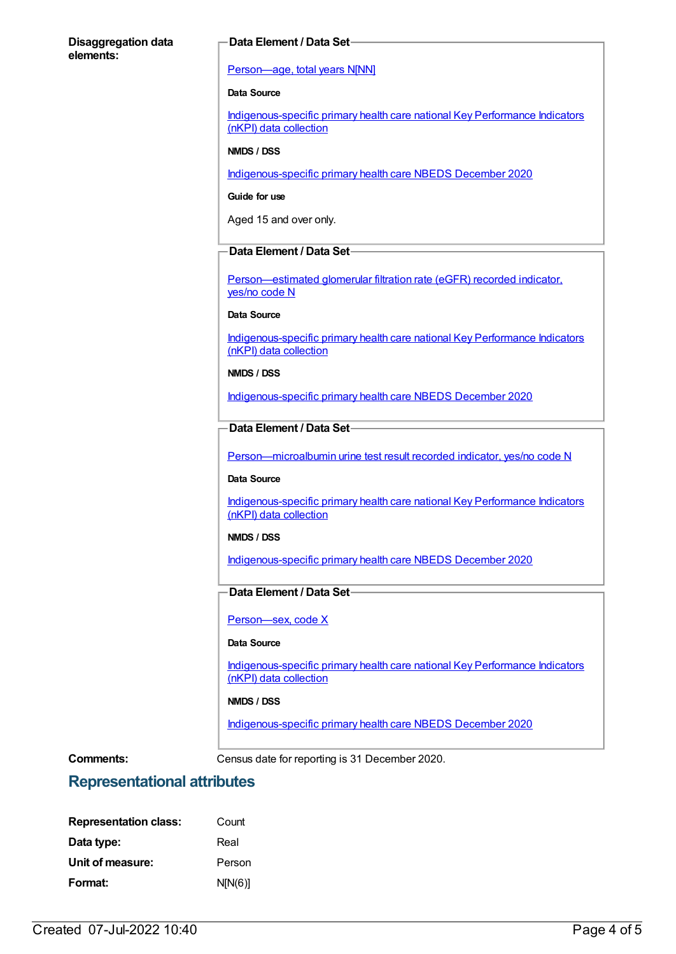#### **Disaggregation data elements:**

#### **Data Element / Data Set**

#### [Person—age,](https://meteor.aihw.gov.au/content/303794) total years N[NN]

#### **Data Source**

[Indigenous-specific](https://meteor.aihw.gov.au/content/737914) primary health care national Key Performance Indicators (nKPI) data collection

#### **NMDS / DSS**

[Indigenous-specific](https://meteor.aihw.gov.au/content/738532) primary health care NBEDS December 2020

**Guide for use**

Aged 15 and over only.

### **Data Element / Data Set**

[Person—estimated](https://meteor.aihw.gov.au/content/464961) glomerular filtration rate (eGFR) recorded indicator, yes/no code N

#### **Data Source**

[Indigenous-specific](https://meteor.aihw.gov.au/content/737914) primary health care national Key Performance Indicators (nKPI) data collection

#### **NMDS / DSS**

[Indigenous-specific](https://meteor.aihw.gov.au/content/738532) primary health care NBEDS December 2020

### **Data Element / Data Set**

[Person—microalbumin](https://meteor.aihw.gov.au/content/464970) urine test result recorded indicator, yes/no code N

#### **Data Source**

[Indigenous-specific](https://meteor.aihw.gov.au/content/737914) primary health care national Key Performance Indicators (nKPI) data collection

#### **NMDS / DSS**

[Indigenous-specific](https://meteor.aihw.gov.au/content/738532) primary health care NBEDS December 2020

# **Data Element / Data Set**

[Person—sex,](https://meteor.aihw.gov.au/content/635126) code X

#### **Data Source**

[Indigenous-specific](https://meteor.aihw.gov.au/content/737914) primary health care national Key Performance Indicators (nKPI) data collection

#### **NMDS / DSS**

[Indigenous-specific](https://meteor.aihw.gov.au/content/738532) primary health care NBEDS December 2020

**Comments:** Census date for reporting is 31 December 2020.

# **Representational attributes**

| <b>Representation class:</b> | Count   |
|------------------------------|---------|
| Data type:                   | Real    |
| Unit of measure:             | Person  |
| Format:                      | N[N(6)] |